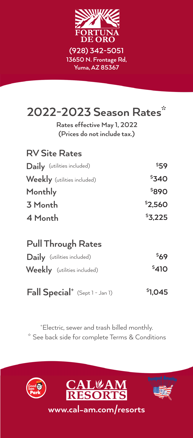

# **2022-2023 Season Rates\***

**(Prices do not include tax.) Rates effective May 1, 2022**

| <b>RV Site Rates</b>               |         |
|------------------------------------|---------|
| Daily (utilities included)         | \$59    |
| <b>Weekly</b> (utilities included) | \$340   |
| Monthly                            | \$890   |
| 3 Month                            | \$2,560 |
| 4 Month                            | \$3,225 |

#### **Pull Through Rates**

| Daily (utilities included)  | 569   |
|-----------------------------|-------|
| Weekly (utilities included) | \$410 |

**Fall Special+ \$** (Sept 1 - Jan 1) **1,045**

\* See back side for complete Terms & Conditions + Electric, sewer and trash billed monthly.